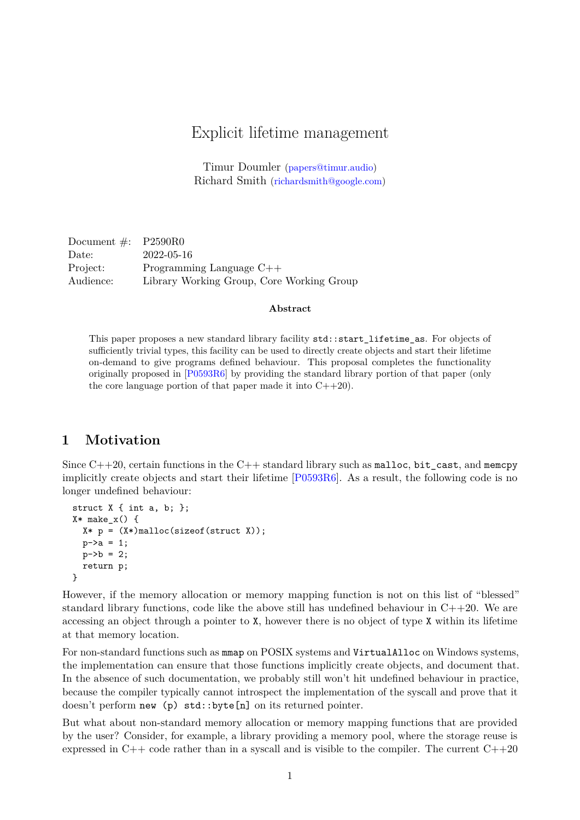# Explicit lifetime management

Timur Doumler [\(papers@timur.audio\)](mailto:papers@timur.audio) Richard Smith [\(richardsmith@google.com\)](mailto:richardsmith@google.com)

Document  $\#$ : P2590R0 Date: 2022-05-16 Project: Programming Language C++ Audience: Library Working Group, Core Working Group

#### **Abstract**

This paper proposes a new standard library facility std::start\_lifetime\_as. For objects of sufficiently trivial types, this facility can be used to directly create objects and start their lifetime on-demand to give programs defined behaviour. This proposal completes the functionality originally proposed in [\[P0593R6\]](#page-2-0) by providing the standard library portion of that paper (only the core language portion of that paper made it into  $C++20$ ).

### **1 Motivation**

Since  $C++20$ , certain functions in the  $C++$  standard library such as malloc, bit cast, and memcpy implicitly create objects and start their lifetime [\[P0593R6\]](#page-2-0). As a result, the following code is no longer undefined behaviour:

```
struct X { int a, b; };
X* make x() {
  X * p = (X*)malloc(sizeof(struct X));
  p - \ge a = 1;
  p - 2b = 2;
  return p;
}
```
However, if the memory allocation or memory mapping function is not on this list of "blessed" standard library functions, code like the above still has undefined behaviour in  $C++20$ . We are accessing an object through a pointer to X, however there is no object of type X within its lifetime at that memory location.

For non-standard functions such as  $mmap$  on POSIX systems and VirtualAlloc on Windows systems, the implementation can ensure that those functions implicitly create objects, and document that. In the absence of such documentation, we probably still won't hit undefined behaviour in practice, because the compiler typically cannot introspect the implementation of the syscall and prove that it doesn't perform new (p) std::byte[n] on its returned pointer.

But what about non-standard memory allocation or memory mapping functions that are provided by the user? Consider, for example, a library providing a memory pool, where the storage reuse is expressed in  $C++$  code rather than in a syscall and is visible to the compiler. The current  $C++20$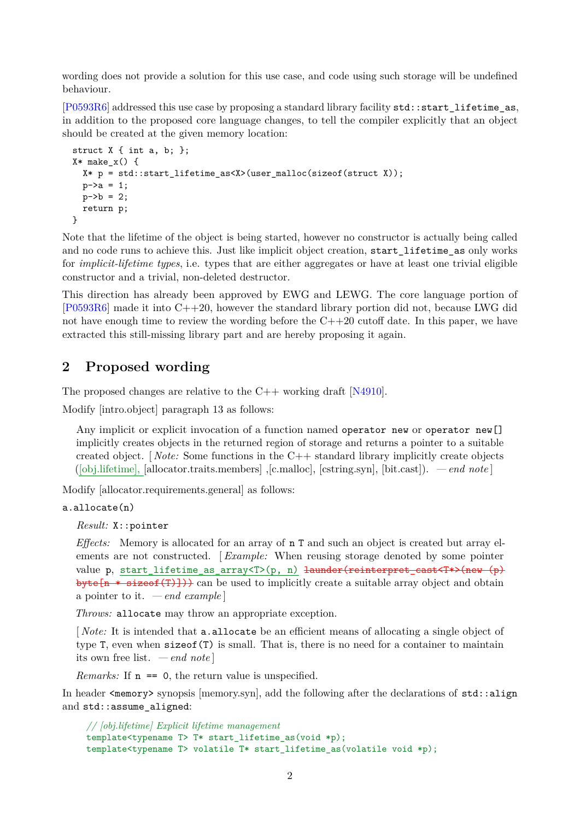wording does not provide a solution for this use case, and code using such storage will be undefined behaviour.

[\[P0593R6\]](#page-2-0) addressed this use case by proposing a standard library facility std::start\_lifetime\_as, in addition to the proposed core language changes, to tell the compiler explicitly that an object should be created at the given memory location:

```
struct X \{ int a, b; \};
X* make_x() {
 X* p = std::start_lifetime_as<X>(user_malloc(sizeof(struct X));
  p->a = 1;p->b = 2;return p;
}
```
Note that the lifetime of the object is being started, however no constructor is actually being called and no code runs to achieve this. Just like implicit object creation, start\_lifetime\_as only works for *implicit-lifetime types*, i.e. types that are either aggregates or have at least one trivial eligible constructor and a trivial, non-deleted destructor.

This direction has already been approved by EWG and LEWG. The core language portion of  $[P0593R6]$  made it into  $C++20$ , however the standard library portion did not, because LWG did not have enough time to review the wording before the  $C++20$  cutoff date. In this paper, we have extracted this still-missing library part and are hereby proposing it again.

## **2 Proposed wording**

The proposed changes are relative to the  $C++$  working draft [\[N4910\]](#page-2-1).

Modify [intro.object] paragraph 13 as follows:

Any implicit or explicit invocation of a function named operator new or operator new [] implicitly creates objects in the returned region of storage and returns a pointer to a suitable created object. [ *Note:* Some functions in the C++ standard library implicitly create objects ([obj.lifetime], [allocator.traits.members] ,[c.malloc], [cstring.syn], [bit.cast]). *— end note* ]

Modify [allocator.requirements.general] as follows:

#### a.allocate(n)

*Result:* X::pointer

*Effects:* Memory is allocated for an array of n T and such an object is created but array elements are not constructed. [ *Example:* When reusing storage denoted by some pointer value p, start\_lifetime\_as\_array<T>(p, n) <del>launder(reinterpret\_cast<T\*>(new (p)</del> byte<sup>[n \*</sup> sizeof(T)])) can be used to implicitly create a suitable array object and obtain a pointer to it. *— end example* ]

*Throws:* allocate may throw an appropriate exception.

[*Note:* It is intended that **a.allocate** be an efficient means of allocating a single object of type T, even when sizeof(T) is small. That is, there is no need for a container to maintain its own free list. *— end note* ]

*Remarks:* If  $n == 0$ , the return value is unspecified.

In header  $\langle \text{memory} \rangle$  synopsis [memory.syn], add the following after the declarations of  $\text{std}$ ::align and std::assume aligned:

*// [obj.lifetime] Explicit lifetime management* template<typename T> T\* start\_lifetime\_as(void \*p); template<typename T> volatile T\* start\_lifetime\_as(volatile void \*p);